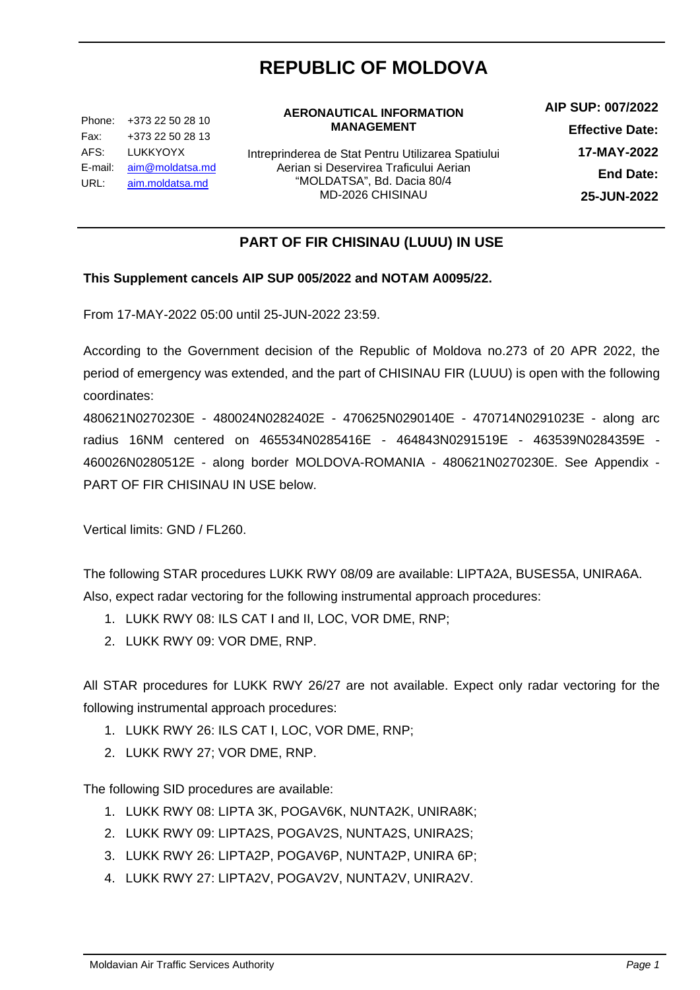# **REPUBLIC OF MOLDOVA**

Phone: +373 22 50 28 10 Fax: AFS: E-mail: <u>[aim@moldatsa.md](mailto:aim@moldatsa.md)</u> URL: +373 22 50 28 13 LUKKYOYX aim.moldatsa.md

#### **AERONAUTICAL INFORMATION MANAGEMENT**

Intreprinderea de Stat Pentru Utilizarea Spatiului Aerian si Deservirea Traficului Aerian "MOLDATSA", Bd. Dacia 80/4 MD-2026 CHISINAU

**AIP SUP: 007/2022 Effective Date: 17-MAY-2022 End Date: 25-JUN-2022**

## **PART OF FIR CHISINAU (LUUU) IN USE**

### **This Supplement cancels AIP SUP 005/2022 and NOTAM A0095/22.**

From 17-MAY-2022 05:00 until 25-JUN-2022 23:59.

According to the Government decision of the Republic of Moldova no.273 of 20 APR 2022, the period of emergency was extended, and the part of CHISINAU FIR (LUUU) is open with the following coordinates:

480621N0270230E - 480024N0282402E - 470625N0290140E - 470714N0291023E - along arc radius 16NM centered on 465534N0285416E - 464843N0291519E - 463539N0284359E - 460026N0280512E - along border MOLDOVA-ROMANIA - 480621N0270230E. See Appendix - PART OF FIR CHISINAU IN USE below.

Vertical limits: GND / FL260.

The following STAR procedures LUKK RWY 08/09 are available: LIPTA2A, BUSES5A, UNIRA6A. Also, expect radar vectoring for the following instrumental approach procedures:

- 1. LUKK RWY 08: ILS CAT I and II, LOC, VOR DME, RNP;
- 2. LUKK RWY 09: VOR DME, RNP.

All STAR procedures for LUKK RWY 26/27 are not available. Expect only radar vectoring for the following instrumental approach procedures:

- 1. LUKK RWY 26: ILS CAT I, LOC, VOR DME, RNP;
- 2. LUKK RWY 27; VOR DME, RNP.

The following SID procedures are available:

- 1. LUKK RWY 08: LIPTA 3K, POGAV6K, NUNTA2K, UNIRA8K;
- 2. LUKK RWY 09: LIPTA2S, POGAV2S, NUNTA2S, UNIRA2S;
- 3. LUKK RWY 26: LIPTA2P, POGAV6P, NUNTA2P, UNIRA 6P;
- 4. LUKK RWY 27: LIPTA2V, POGAV2V, NUNTA2V, UNIRA2V.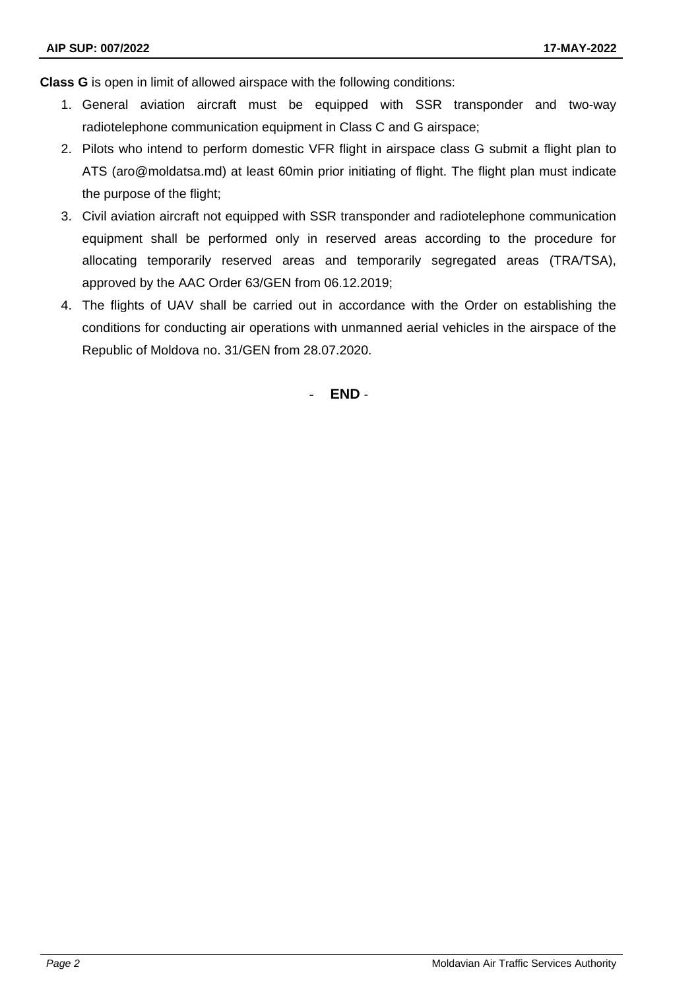**Class G** is open in limit of allowed airspace with the following conditions:

- 1. General aviation aircraft must be equipped with SSR transponder and two-way radiotelephone communication equipment in Class C and G airspace;
- 2. Pilots who intend to perform domestic VFR flight in airspace class G submit a flight plan to ATS (aro@moldatsa.md) at least 60min prior initiating of flight. The flight plan must indicate the purpose of the flight;
- 3. Civil aviation aircraft not equipped with SSR transponder and radiotelephone communication equipment shall be performed only in reserved areas according to the procedure for allocating temporarily reserved areas and temporarily segregated areas (TRA/TSA), approved by the AAC Order 63/GEN from 06.12.2019;
- 4. The flights of UAV shall be carried out in accordance with the Order on establishing the conditions for conducting air operations with unmanned aerial vehicles in the airspace of the Republic of Moldova no. 31/GEN from 28.07.2020.

- **END** -